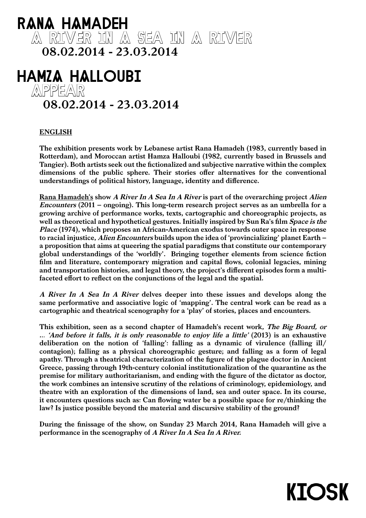# RANA HAMadEH

A RIVER IN A sEa IN A RIVer

08.02.2014 - 23.03.2014

## HaMZA HALLOUBI APPEaR

08.02.2014 - 23.03.2014

## ENGLISH

The exhibition presents work by Lebanese artist Rana Hamadeh (1983, currently based in Rotterdam), and Moroccan artist Hamza Halloubi (1982, currently based in Brussels and Tangier). Both artists seek out the fictionalized and subjective narrative within the complex dimensions of the public sphere. Their stories offer alternatives for the conventional understandings of political history, language, identity and difference.

Rana Hamadeh's show A River In A Sea In A River is part of the overarching project Alien Encounters (2011 – ongoing). This long-term research project serves as an umbrella for a growing archive of performance works, texts, cartographic and choreographic projects, as well as theoretical and hypothetical gestures. Initially inspired by Sun Ra's film Space is the Place (1974), which proposes an African-American exodus towards outer space in response to racial injustice, Alien Encounters builds upon the idea of 'provincializing' planet Earth a proposition that aims at queering the spatial paradigms that constitute our contemporary global understandings of the 'worldly'. Bringing together elements from science fiction film and literature, contemporary migration and capital flows, colonial legacies, mining and transportation histories, and legal theory, the project's different episodes form a multifaceted effort to reflect on the conjunctions of the legal and the spatial.

A River In A Sea In A River delves deeper into these issues and develops along the same performative and associative logic of 'mapping'. The central work can be read as a cartographic and theatrical scenography for a 'play' of stories, places and encounters.

This exhibition, seen as a second chapter of Hamadeh's recent work, The Big Board, or … 'And before it falls, it is only reasonable to enjoy life a little' (2013) is an exhaustive deliberation on the notion of 'falling': falling as a dynamic of virulence (falling ill/ contagion); falling as a physical choreographic gesture; and falling as a form of legal apathy. Through a theatrical characterization of the figure of the plague doctor in Ancient Greece, passing through 19th-century colonial institutionalization of the quarantine as the premise for military authoritarianism, and ending with the figure of the dictator as doctor, the work combines an intensive scrutiny of the relations of criminology, epidemiology, and theatre with an exploration of the dimensions of land, sea and outer space. In its course, it encounters questions such as: Can flowing water be a possible space for re/thinking the law? Is justice possible beyond the material and discursive stability of the ground?

During the finissage of the show, on Sunday 23 March 2014, Rana Hamadeh will give a performance in the scenography of A River In A Sea In A River.